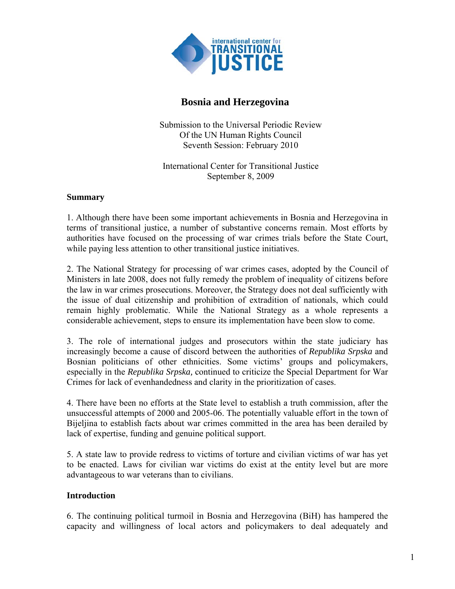

# **Bosnia and Herzegovina**

Submission to the Universal Periodic Review Of the UN Human Rights Council Seventh Session: February 2010

International Center for Transitional Justice September 8, 2009

### **Summary**

1. Although there have been some important achievements in Bosnia and Herzegovina in terms of transitional justice, a number of substantive concerns remain. Most efforts by authorities have focused on the processing of war crimes trials before the State Court, while paying less attention to other transitional justice initiatives.

2. The National Strategy for processing of war crimes cases, adopted by the Council of Ministers in late 2008, does not fully remedy the problem of inequality of citizens before the law in war crimes prosecutions. Moreover, the Strategy does not deal sufficiently with the issue of dual citizenship and prohibition of extradition of nationals, which could remain highly problematic. While the National Strategy as a whole represents a considerable achievement, steps to ensure its implementation have been slow to come.

3. The role of international judges and prosecutors within the state judiciary has increasingly become a cause of discord between the authorities of *Republika Srpska* and Bosnian politicians of other ethnicities. Some victims' groups and policymakers, especially in the *Republika Srpska,* continued to criticize the Special Department for War Crimes for lack of evenhandedness and clarity in the prioritization of cases.

4. There have been no efforts at the State level to establish a truth commission, after the unsuccessful attempts of 2000 and 2005-06. The potentially valuable effort in the town of Bijeljina to establish facts about war crimes committed in the area has been derailed by lack of expertise, funding and genuine political support.

5. A state law to provide redress to victims of torture and civilian victims of war has yet to be enacted. Laws for civilian war victims do exist at the entity level but are more advantageous to war veterans than to civilians.

## **Introduction**

6. The continuing political turmoil in Bosnia and Herzegovina (BiH) has hampered the capacity and willingness of local actors and policymakers to deal adequately and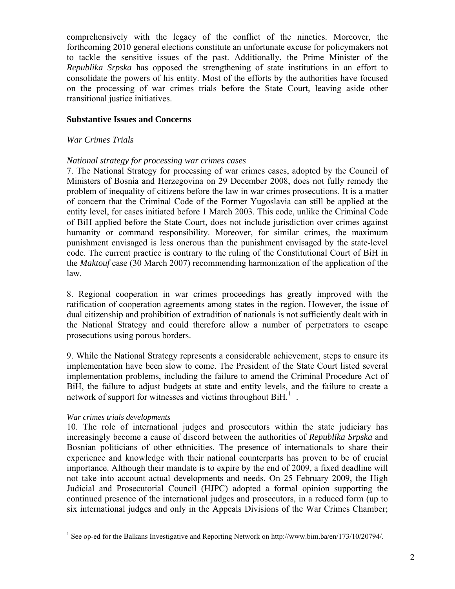comprehensively with the legacy of the conflict of the nineties. Moreover, the forthcoming 2010 general elections constitute an unfortunate excuse for policymakers not to tackle the sensitive issues of the past. Additionally, the Prime Minister of the *Republika Srpska* has opposed the strengthening of state institutions in an effort to consolidate the powers of his entity. Most of the efforts by the authorities have focused on the processing of war crimes trials before the State Court, leaving aside other transitional justice initiatives.

### **Substantive Issues and Concerns**

### *War Crimes Trials*

### *National strategy for processing war crimes cases*

7. The National Strategy for processing of war crimes cases, adopted by the Council of Ministers of Bosnia and Herzegovina on 29 December 2008, does not fully remedy the problem of inequality of citizens before the law in war crimes prosecutions. It is a matter of concern that the Criminal Code of the Former Yugoslavia can still be applied at the entity level, for cases initiated before 1 March 2003. This code, unlike the Criminal Code of BiH applied before the State Court, does not include jurisdiction over crimes against humanity or command responsibility. Moreover, for similar crimes, the maximum punishment envisaged is less onerous than the punishment envisaged by the state-level code. The current practice is contrary to the ruling of the Constitutional Court of BiH in the *Maktouf* case (30 March 2007) recommending harmonization of the application of the law.

8. Regional cooperation in war crimes proceedings has greatly improved with the ratification of cooperation agreements among states in the region. However, the issue of dual citizenship and prohibition of extradition of nationals is not sufficiently dealt with in the National Strategy and could therefore allow a number of perpetrators to escape prosecutions using porous borders.

9. While the National Strategy represents a considerable achievement, steps to ensure its implementation have been slow to come. The President of the State Court listed several implementation problems, including the failure to amend the Criminal Procedure Act of BiH, the failure to adjust budgets at state and entity levels, and the failure to create a network of support for witnesses and victims throughout BiH.<sup>[1](#page-1-0)</sup>.

### *War crimes trials developments*

10. The role of international judges and prosecutors within the state judiciary has increasingly become a cause of discord between the authorities of *Republika Srpska* and Bosnian politicians of other ethnicities. The presence of internationals to share their experience and knowledge with their national counterparts has proven to be of crucial importance. Although their mandate is to expire by the end of 2009, a fixed deadline will not take into account actual developments and needs. On 25 February 2009, the High Judicial and Prosecutorial Council (HJPC) adopted a formal opinion supporting the continued presence of the international judges and prosecutors, in a reduced form (up to six international judges and only in the Appeals Divisions of the War Crimes Chamber;

<span id="page-1-0"></span> 1 See op-ed for the Balkans Investigative and Reporting Network on http://www.bim.ba/en/173/10/20794/.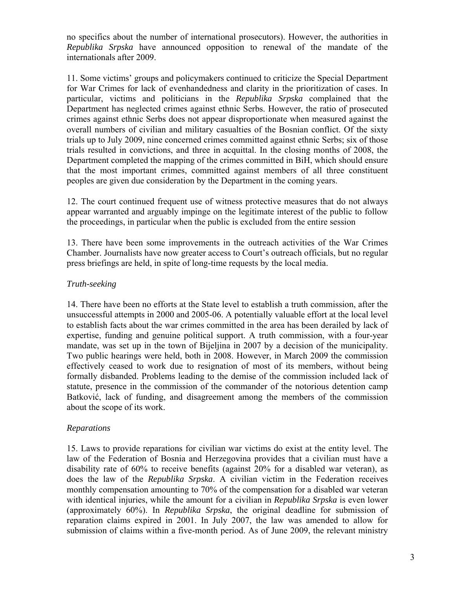no specifics about the number of international prosecutors). However, the authorities in *Republika Srpska* have announced opposition to renewal of the mandate of the internationals after 2009.

11. Some victims' groups and policymakers continued to criticize the Special Department for War Crimes for lack of evenhandedness and clarity in the prioritization of cases. In particular, victims and politicians in the *Republika Srpska* complained that the Department has neglected crimes against ethnic Serbs. However, the ratio of prosecuted crimes against ethnic Serbs does not appear disproportionate when measured against the overall numbers of civilian and military casualties of the Bosnian conflict. Of the sixty trials up to July 2009, nine concerned crimes committed against ethnic Serbs; six of those trials resulted in convictions, and three in acquittal. In the closing months of 2008, the Department completed the mapping of the crimes committed in BiH, which should ensure that the most important crimes, committed against members of all three constituent peoples are given due consideration by the Department in the coming years.

12. The court continued frequent use of witness protective measures that do not always appear warranted and arguably impinge on the legitimate interest of the public to follow the proceedings, in particular when the public is excluded from the entire session

13. There have been some improvements in the outreach activities of the War Crimes Chamber. Journalists have now greater access to Court's outreach officials, but no regular press briefings are held, in spite of long-time requests by the local media.

## *Truth-seeking*

14. There have been no efforts at the State level to establish a truth commission, after the unsuccessful attempts in 2000 and 2005-06. A potentially valuable effort at the local level to establish facts about the war crimes committed in the area has been derailed by lack of expertise, funding and genuine political support. A truth commission, with a four-year mandate, was set up in the town of Bijeljina in 2007 by a decision of the municipality. Two public hearings were held, both in 2008. However, in March 2009 the commission effectively ceased to work due to resignation of most of its members, without being formally disbanded. Problems leading to the demise of the commission included lack of statute, presence in the commission of the commander of the notorious detention camp Batković, lack of funding, and disagreement among the members of the commission about the scope of its work.

## *Reparations*

15. Laws to provide reparations for civilian war victims do exist at the entity level. The law of the Federation of Bosnia and Herzegovina provides that a civilian must have a disability rate of 60% to receive benefits (against 20% for a disabled war veteran), as does the law of the *Republika Srpska*. A civilian victim in the Federation receives monthly compensation amounting to 70% of the compensation for a disabled war veteran with identical injuries, while the amount for a civilian in *Republika Srpska* is even lower (approximately 60%). In *Republika Srpska*, the original deadline for submission of reparation claims expired in 2001. In July 2007, the law was amended to allow for submission of claims within a five-month period. As of June 2009, the relevant ministry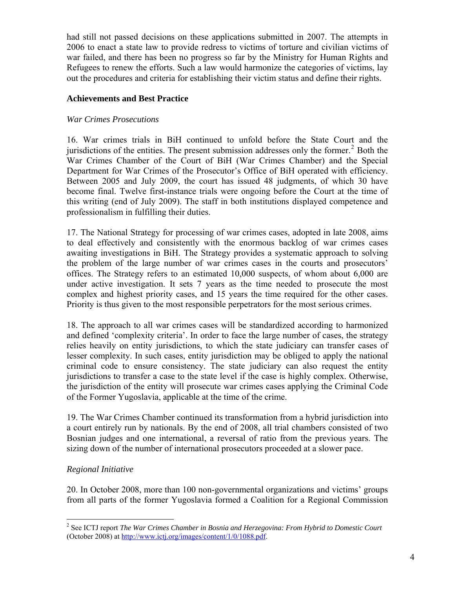had still not passed decisions on these applications submitted in 2007. The attempts in 2006 to enact a state law to provide redress to victims of torture and civilian victims of war failed, and there has been no progress so far by the Ministry for Human Rights and Refugees to renew the efforts. Such a law would harmonize the categories of victims, lay out the procedures and criteria for establishing their victim status and define their rights.

## **Achievements and Best Practice**

### *War Crimes Prosecutions*

16. War crimes trials in BiH continued to unfold before the State Court and the jurisdictions of the entities. The present submission addresses only the former. $2$  Both the War Crimes Chamber of the Court of BiH (War Crimes Chamber) and the Special Department for War Crimes of the Prosecutor's Office of BiH operated with efficiency. Between 2005 and July 2009, the court has issued 48 judgments, of which 30 have become final. Twelve first-instance trials were ongoing before the Court at the time of this writing (end of July 2009). The staff in both institutions displayed competence and professionalism in fulfilling their duties.

17. The National Strategy for processing of war crimes cases, adopted in late 2008, aims to deal effectively and consistently with the enormous backlog of war crimes cases awaiting investigations in BiH. The Strategy provides a systematic approach to solving the problem of the large number of war crimes cases in the courts and prosecutors' offices. The Strategy refers to an estimated 10,000 suspects, of whom about 6,000 are under active investigation. It sets 7 years as the time needed to prosecute the most complex and highest priority cases, and 15 years the time required for the other cases. Priority is thus given to the most responsible perpetrators for the most serious crimes.

18. The approach to all war crimes cases will be standardized according to harmonized and defined 'complexity criteria'. In order to face the large number of cases, the strategy relies heavily on entity jurisdictions, to which the state judiciary can transfer cases of lesser complexity. In such cases, entity jurisdiction may be obliged to apply the national criminal code to ensure consistency. The state judiciary can also request the entity jurisdictions to transfer a case to the state level if the case is highly complex. Otherwise, the jurisdiction of the entity will prosecute war crimes cases applying the Criminal Code of the Former Yugoslavia, applicable at the time of the crime.

19. The War Crimes Chamber continued its transformation from a hybrid jurisdiction into a court entirely run by nationals. By the end of 2008, all trial chambers consisted of two Bosnian judges and one international, a reversal of ratio from the previous years. The sizing down of the number of international prosecutors proceeded at a slower pace.

## *Regional Initiative*

 $\overline{a}$ 

20. In October 2008, more than 100 non-governmental organizations and victims' groups from all parts of the former Yugoslavia formed a Coalition for a Regional Commission

<span id="page-3-0"></span><sup>2</sup> See ICTJ report *The War Crimes Chamber in Bosnia and Herzegovina: From Hybrid to Domestic Court*  (October 2008) at [http://www.ictj.org/images/content/1/0/1088.pdf.](http://www.ictj.org/images/content/1/0/1088.pdf)